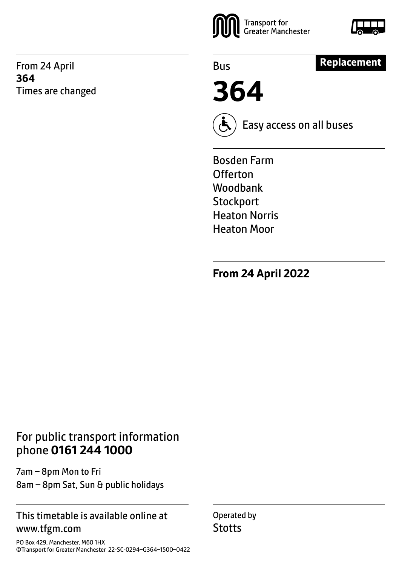From 24 April **364** Times are changed





Bus

## **Replacement**

**364**



Easy access on all buses

Bosden Farm **Offerton** Woodbank **Stockport** Heaton Norris Heaton Moor

**From 24 April 2022**

### For public transport information phone **0161 244 1000**

7am – 8pm Mon to Fri 8am – 8pm Sat, Sun & public holidays

#### This timetable is available online at www.tfgm.com

PO Box 429, Manchester, M60 1HX ©Transport for Greater Manchester 22-SC-0294–G364–1500–0422 Operated by **Stotts**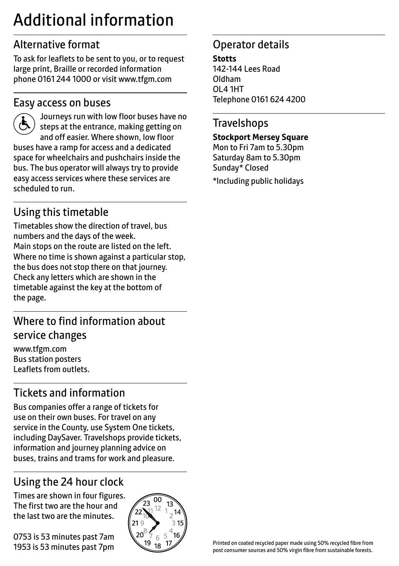# Additional information

## Alternative format

To ask for leaflets to be sent to you, or to request large print, Braille or recorded information phone 0161 244 1000 or visit www.tfgm.com

#### Easy access on buses



 Journeys run with low floor buses have no steps at the entrance, making getting on and off easier. Where shown, low floor buses have a ramp for access and a dedicated space for wheelchairs and pushchairs inside the bus. The bus operator will always try to provide easy access services where these services are scheduled to run.

## Using this timetable

Timetables show the direction of travel, bus numbers and the days of the week. Main stops on the route are listed on the left. Where no time is shown against a particular stop, the bus does not stop there on that journey. Check any letters which are shown in the timetable against the key at the bottom of the page.

## Where to find information about service changes

www.tfgm.com Bus station posters Leaflets from outlets.

# Tickets and information

Bus companies offer a range of tickets for use on their own buses. For travel on any service in the County, use System One tickets, including DaySaver. Travelshops provide tickets, information and journey planning advice on buses, trains and trams for work and pleasure.

# Using the 24 hour clock

Times are shown in four figures. The first two are the hour and the last two are the minutes.

0753 is 53 minutes past 7am 1953 is 53 minutes past 7pm



## Operator details

**Stotts** 142-144 Lees Road Oldham OL4 1HT Telephone 0161 624 4200

#### **Travelshops**

**Stockport Mersey Square**

Mon to Fri 7am to 5.30pm Saturday 8am to 5.30pm Sunday\* Closed \*Including public holidays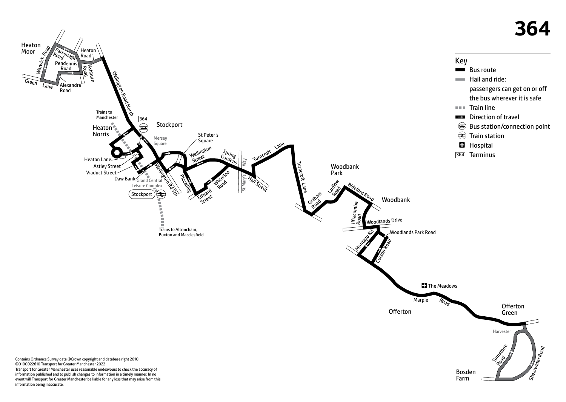